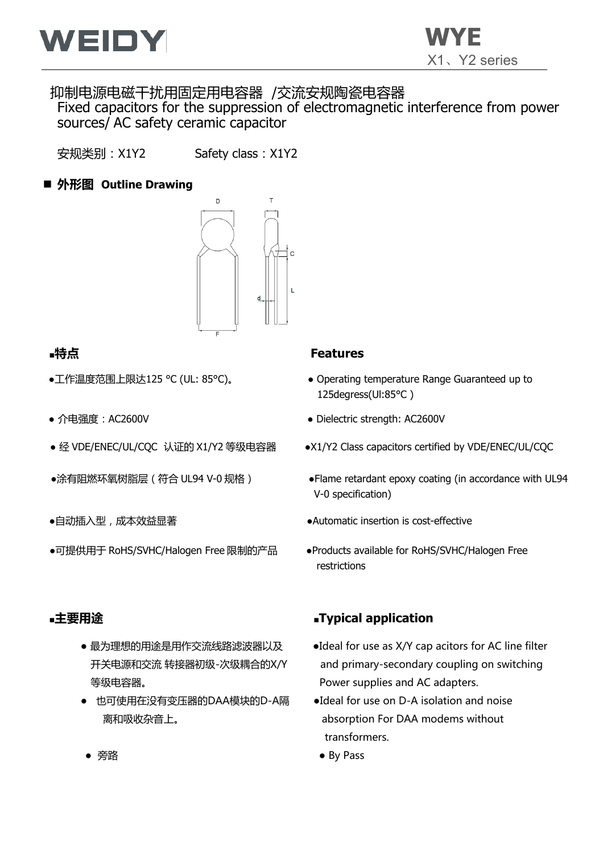

# 抑制电源电磁干扰用固定用电容器 /交流安规陶瓷电容器 Fixed capacitors for the suppression of electromagnetic interference from power

sources/ AC safety ceramic capacitor

安规类别:X1Y2 Safety class:X1Y2

# ■ 外形图 Outline Drawing



- 
- 
- 
- 
- 
- ●可提供用于 RoHS/SVHC/Halogen Free 限制的产品 → Products available for RoHS/SVHC/Halogen Free

- 等级电容器。 Power supplies and AC adapters.
- 也可使用在没有变压器的DAA模块的D-A隔 ●Ideal for use on D-A isolation and noise

#### **■特点 Features**

- ●工作温度范围上限达125 °C (UL: 85°C)。 → Operating temperature Range Guaranteed up to 125degress(Ul:85°C )
- 介电强度:AC2600V ● Dielectric strength: AC2600V
- 经 VDE/ENEC/UL/CQC 认证的 X1/Y2 等级电容器 → ●X1/Y2 Class capacitors certified by VDE/ENEC/UL/CQC
- ●涂有阻燃环氧树脂层 (符合 UL94 V-0 规格 ) → → → Flame retardant epoxy coating (in accordance with UL94 V-0 specification)
- ●自动插入型,成本效益显著 → → → → → → → → Automatic insertion is cost-effective
	- restrictions

# **■主要用途 ■Typical application**

- 最为理想的用途是用作交流线路滤波器以及 → ●Ideal for use as X/Y cap acitors for AC line filter 开关电源和交流 转接器初级-次级耦合的X/Y and primary-secondary coupling on switching
	- 离和吸收杂音上。 absorption For DAA modems without transformers.
	- $\hat{B}$  ティブライト アクセス アクセス アクセス しゅうしょう きょうしょう トランス しゅうしょう トランス しゅうしょう しゅうしゃ By Pass
-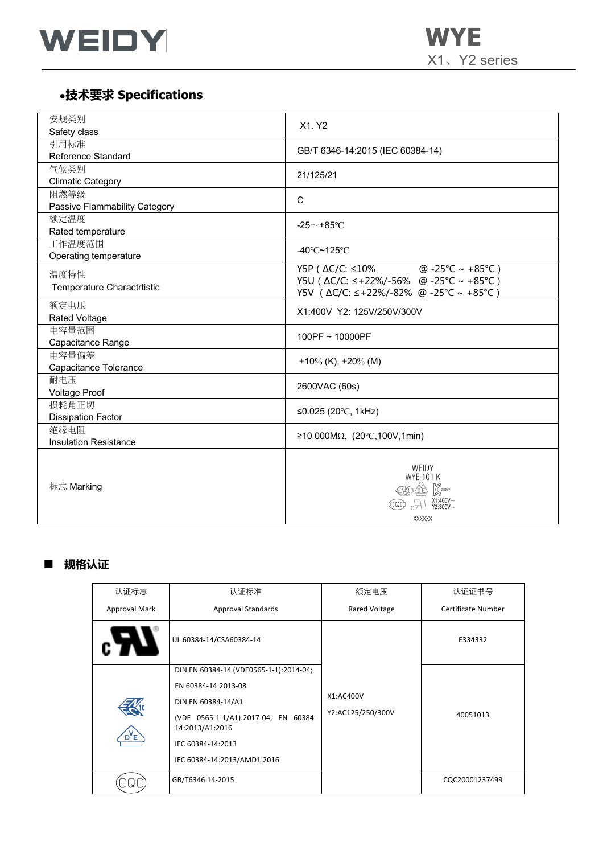

X1、Y2 series

# ●**技术要求 Specifications**

| 安规类别                          | X1. Y2                                   |  |  |  |  |
|-------------------------------|------------------------------------------|--|--|--|--|
| Safety class                  |                                          |  |  |  |  |
| 引用标准                          | GB/T 6346-14:2015 (IEC 60384-14)         |  |  |  |  |
| Reference Standard            |                                          |  |  |  |  |
| 气候类别                          | 21/125/21                                |  |  |  |  |
| <b>Climatic Category</b>      |                                          |  |  |  |  |
| 阻燃等级                          | C                                        |  |  |  |  |
| Passive Flammability Category |                                          |  |  |  |  |
| 额定温度                          | -25 $\sim$ +85°C                         |  |  |  |  |
| Rated temperature             |                                          |  |  |  |  |
| 工作温度范围                        | -40 $\degree$ C~125 $\degree$ C          |  |  |  |  |
| Operating temperature         |                                          |  |  |  |  |
| 温度特性                          | @ -25°C ~ +85°C )<br>Y5P ( ∆C/C: ≤10%    |  |  |  |  |
| Temperature Charactrtistic    | Y5U ( ∆C/C: ≤+22%/-56% @ -25°C ~ +85°C ) |  |  |  |  |
|                               | Y5V ( △C/C: ≤+22%/-82% @ -25°C ~ +85°C ) |  |  |  |  |
| 额定电压                          | X1:400V Y2: 125V/250V/300V               |  |  |  |  |
| <b>Rated Voltage</b>          |                                          |  |  |  |  |
| 电容量范围                         | 100PF ~ 10000PF                          |  |  |  |  |
| Capacitance Range             |                                          |  |  |  |  |
| 电容量偏差                         | $\pm 10\%$ (K), $\pm 20\%$ (M)           |  |  |  |  |
| Capacitance Tolerance         |                                          |  |  |  |  |
| 耐电压                           | 2600VAC (60s)                            |  |  |  |  |
| <b>Voltage Proof</b>          |                                          |  |  |  |  |
| 损耗角正切                         | ≤0.025 (20°C, 1kHz)                      |  |  |  |  |
| <b>Dissipation Factor</b>     |                                          |  |  |  |  |
| 绝缘电阻                          | ≥10 000MΩ, (20°C,100V,1min)              |  |  |  |  |
| <b>Insulation Resistance</b>  |                                          |  |  |  |  |
|                               |                                          |  |  |  |  |
|                               | WEIDY                                    |  |  |  |  |
|                               | <b>WYE 101 K</b>                         |  |  |  |  |
| 标志 Marking                    | <b>K10 AD K250v</b>                      |  |  |  |  |
|                               | $C$ X1:400V~                             |  |  |  |  |
|                               | <b>XXXXXX</b>                            |  |  |  |  |

# ■ **规格认证**

| 认证标志             | 认证标准                                                    | 额定电压              | 认证证书号              |  |
|------------------|---------------------------------------------------------|-------------------|--------------------|--|
| Approval Mark    | <b>Approval Standards</b>                               | Rared Voltage     | Certificate Number |  |
|                  | UL 60384-14/CSA60384-14                                 |                   | E334332            |  |
|                  | DIN EN 60384-14 (VDE0565-1-1):2014-04;                  |                   |                    |  |
|                  | EN 60384-14:2013-08                                     |                   |                    |  |
|                  | DIN EN 60384-14/A1                                      | X1:AC400V         |                    |  |
|                  | (VDE 0565-1-1/A1):2017-04; EN 60384-<br>14:2013/A1:2016 | Y2:AC125/250/300V | 40051013           |  |
| D <sup>V</sup> E | IEC 60384-14:2013                                       |                   |                    |  |
|                  | IEC 60384-14:2013/AMD1:2016                             |                   |                    |  |
|                  | GB/T6346.14-2015                                        |                   | CQC20001237499     |  |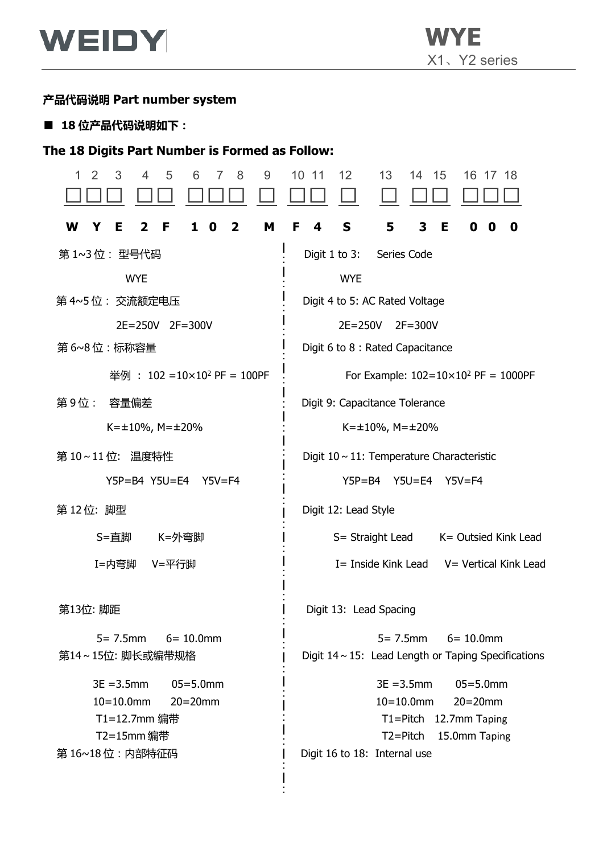

# **产品代码说明 Part number system**

■ **18 位产品代码说明如下:**

## **The 18 Digits Part Number is Formed as Follow:**

| 3<br>5<br>9<br>1<br>2<br>4<br>6<br>8         | 10<br>12<br>13<br>15<br>-11<br>14<br>16<br>17<br>-18      |
|----------------------------------------------|-----------------------------------------------------------|
| W<br>M<br>Е<br>F<br>2<br>1<br>0<br>Y<br>2    | S<br>3<br>5<br>Е<br>F<br>4<br>0<br>0<br>O                 |
| 第 1~3 位: 型号代码                                | Digit $1$ to $3:$<br>Series Code                          |
| <b>WYE</b>                                   | <b>WYE</b>                                                |
| 第 4~5 位: 交流额定电压                              | Digit 4 to 5: AC Rated Voltage                            |
| $2E = 250V$<br>$2F = 300V$                   | $2E = 250V$<br>$2F = 300V$                                |
| 第 6~8 位:标称容量                                 | Digit 6 to 8 : Rated Capacitance                          |
| 举例: $102 = 10 \times 10^2$ PF = 100PF        | For Example: $102=10\times10^2$ PF = 1000PF               |
| 第9位:<br>容量偏差                                 | Digit 9: Capacitance Tolerance                            |
| $K=\pm 10\%$ , M= $\pm 20\%$                 | $K = \pm 10\%$ , M= $\pm 20\%$                            |
| 第 10~11 位: 温度特性                              | Digit $10 \sim 11$ : Temperature Characteristic           |
| $Y5P = B4$ $Y5U = E4$<br>$Y5V = F4$          | $Y5P = B4$<br>$Y5U = E4$<br>$Y5V = F4$                    |
| 第12位: 脚型                                     | Digit 12: Lead Style                                      |
| S=直脚<br>K=外弯脚                                | S= Straight Lead<br>K= Outsied Kink Lead                  |
| I=内弯脚<br>V=平行脚                               | I= Inside Kink Lead<br>V = Vertical Kink Lead             |
| 第13位: 脚距                                     | Digit 13: Lead Spacing                                    |
| $6 = 10.0$ mm<br>$5 = 7.5$ mm                | $6 = 10.0$ mm<br>$5 = 7.5$ mm                             |
| 第14~15位: 脚长或编带规格                             | Digit $14 \sim 15$ : Lead Length or Taping Specifications |
| $3E = 3.5$ mm<br>$05 = 5.0$ mm               | $3E = 3.5$ mm<br>$05 = 5.0$ mm                            |
| $10 = 10.0$ mm<br>$20=20$ mm<br>T1=12.7mm 编带 | $10 = 10.0$ mm<br>$20=20$ mm<br>T1=Pitch 12.7mm Taping    |
| T2=15mm 编带                                   | $T2 = Pitch$<br>15.0mm Taping                             |
| 第 16~18 位:内部特征码                              | Digit 16 to 18: Internal use                              |
|                                              |                                                           |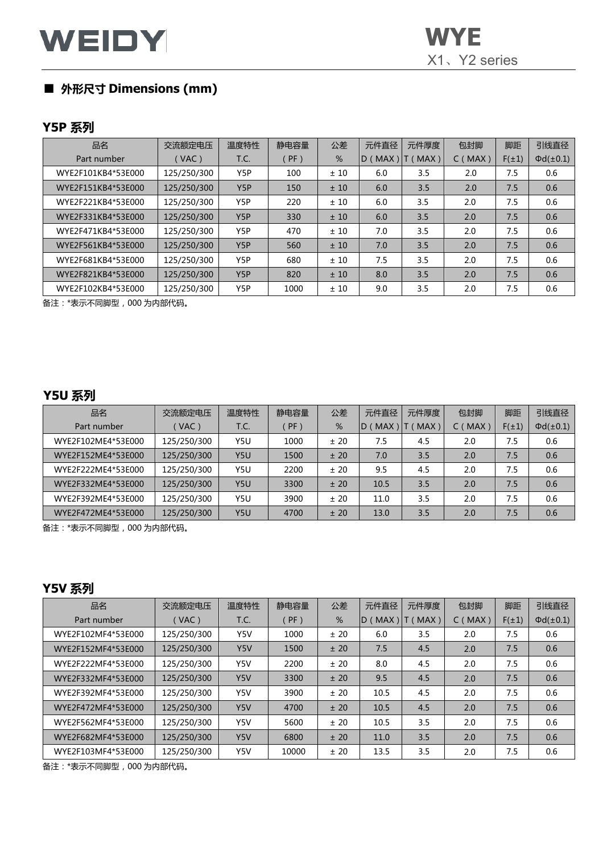# **WEIDY** WYE

# ■ **外形尺寸 Dimensions (mm)**

#### **Y5P 系列**

| 品名                 | 交流额定电压      | 温度特性 | 静电容量   | 公差  | 元件直径         | 元件厚度 | 包封脚    | 脚距         | 引线直径              |
|--------------------|-------------|------|--------|-----|--------------|------|--------|------------|-------------------|
| Part number        | VAC)        | T.C. | $PF$ ) | %   | MAX)<br>ID ( | MAX) | C(MAX) | $F(\pm 1)$ | $\Phi d(\pm 0.1)$ |
| WYE2F101KB4*53E000 | 125/250/300 | Y5P  | 100    | ±10 | 6.0          | 3.5  | 2.0    | 7.5        | 0.6               |
| WYE2F151KB4*53E000 | 125/250/300 | Y5P  | 150    | ±10 | 6.0          | 3.5  | 2.0    | 7.5        | 0.6               |
| WYE2F221KB4*53E000 | 125/250/300 | Y5P  | 220    | ±10 | 6.0          | 3.5  | 2.0    | 7.5        | 0.6               |
| WYE2F331KB4*53E000 | 125/250/300 | Y5P  | 330    | ±10 | 6.0          | 3.5  | 2.0    | 7.5        | 0.6               |
| WYE2F471KB4*53E000 | 125/250/300 | Y5P  | 470    | ±10 | 7.0          | 3.5  | 2.0    | 7.5        | 0.6               |
| WYE2F561KB4*53E000 | 125/250/300 | Y5P  | 560    | ±10 | 7.0          | 3.5  | 2.0    | 7.5        | 0.6               |
| WYE2F681KB4*53E000 | 125/250/300 | Y5P  | 680    | ±10 | 7.5          | 3.5  | 2.0    | 7.5        | 0.6               |
| WYE2F821KB4*53E000 | 125/250/300 | Y5P  | 820    | ±10 | 8.0          | 3.5  | 2.0    | 7.5        | 0.6               |
| WYE2F102KB4*53E000 | 125/250/300 | Y5P  | 1000   | ±10 | 9.0          | 3.5  | 2.0    | 7.5        | 0.6               |

备注:\*表示不同脚型,000 为内部代码。

### **Y5U 系列**

| 品名                 | 交流额定电压      | 温度特性 | 静电容量   | 公差   | 元件直径               | 元件厚度 | 包封脚               | 脚距         | 引线直径              |
|--------------------|-------------|------|--------|------|--------------------|------|-------------------|------------|-------------------|
| Part number        | $VAC$ )     | T.C. | $PF$ ) | %    | <b>MAX</b><br>ID ( | MAX) | <b>MAX</b><br>C ( | $F(\pm 1)$ | $\Phi d(\pm 0.1)$ |
| WYE2F102ME4*53E000 | 125/250/300 | Y5U  | 1000   | ± 20 | 7.5                | 4.5  | 2.0               | 7.5        | 0.6               |
| WYE2F152ME4*53E000 | 125/250/300 | Y5U  | 1500   | ± 20 | 7.0                | 3.5  | 2.0               | 7.5        | 0.6               |
| WYE2F222ME4*53E000 | 125/250/300 | Y5U  | 2200   | ± 20 | 9.5                | 4.5  | 2.0               | 7.5        | 0.6               |
| WYE2F332ME4*53E000 | 125/250/300 | Y5U  | 3300   | ± 20 | 10.5               | 3.5  | 2.0               | 7.5        | 0.6               |
| WYE2F392ME4*53E000 | 125/250/300 | Y5U  | 3900   | ± 20 | 11.0               | 3.5  | 2.0               | 7.5        | 0.6               |
| WYE2F472ME4*53E000 | 125/250/300 | Y5U  | 4700   | ± 20 | 13.0               | 3.5  | 2.0               | 7.5        | 0.6               |

备注:\*表示不同脚型,000 为内部代码。

### **Y5V 系列**

| 品名                 | 交流额定电压      | 温度特性 | 静电容量   | 公差   | 元件直径    | 元件厚度 | 包封脚    | 脚距         | 引线直径              |
|--------------------|-------------|------|--------|------|---------|------|--------|------------|-------------------|
| Part number        | $($ VAC)    | T.C. | $PF$ ) | %    | D (MAX) | MAX) | C(MAX) | $F(\pm 1)$ | $\Phi d(\pm 0.1)$ |
| WYE2F102MF4*53E000 | 125/250/300 | Y5V  | 1000   | ± 20 | 6.0     | 3.5  | 2.0    | 7.5        | 0.6               |
| WYE2F152MF4*53E000 | 125/250/300 | Y5V  | 1500   | ± 20 | 7.5     | 4.5  | 2.0    | 7.5        | 0.6               |
| WYE2F222MF4*53E000 | 125/250/300 | Y5V  | 2200   | ± 20 | 8.0     | 4.5  | 2.0    | 7.5        | 0.6               |
| WYE2F332MF4*53E000 | 125/250/300 | Y5V  | 3300   | ± 20 | 9.5     | 4.5  | 2.0    | 7.5        | 0.6               |
| WYE2F392MF4*53E000 | 125/250/300 | Y5V  | 3900   | ± 20 | 10.5    | 4.5  | 2.0    | 7.5        | 0.6               |
| WYE2F472MF4*53E000 | 125/250/300 | Y5V  | 4700   | ± 20 | 10.5    | 4.5  | 2.0    | 7.5        | 0.6               |
| WYE2F562MF4*53E000 | 125/250/300 | Y5V  | 5600   | ± 20 | 10.5    | 3.5  | 2.0    | 7.5        | 0.6               |
| WYE2F682MF4*53E000 | 125/250/300 | Y5V  | 6800   | ± 20 | 11.0    | 3.5  | 2.0    | 7.5        | 0.6               |
| WYE2F103MF4*53E000 | 125/250/300 | Y5V  | 10000  | ± 20 | 13.5    | 3.5  | 2.0    | 7.5        | 0.6               |

备注:\*表示不同脚型,000 为内部代码。